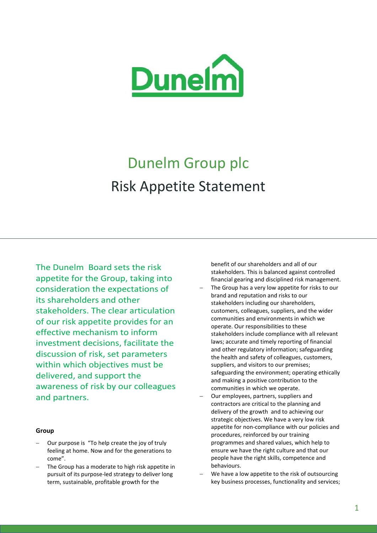

# Dunelm Group plc Risk Appetite Statement

The Dunelm Board sets the risk appetite for the Group, taking into consideration the expectations of its shareholders and other stakeholders. The clear articulation of our risk appetite provides for an effective mechanism to inform investment decisions, facilitate the discussion of risk, set parameters within which objectives must be delivered, and support the awareness of risk by our colleagues and partners.

#### **Group**

- Our purpose is "To help create the joy of truly feeling at home. Now and for the generations to come".
- The Group has a moderate to high risk appetite in pursuit of its purpose-led strategy to deliver long term, sustainable, profitable growth for the

benefit of our shareholders and all of our stakeholders. This is balanced against controlled financial gearing and disciplined risk management.

- The Group has a very low appetite for risks to our brand and reputation and risks to our stakeholders including our shareholders, customers, colleagues, suppliers, and the wider communities and environments in which we operate. Our responsibilities to these stakeholders include compliance with all relevant laws; accurate and timely reporting of financial and other regulatory information; safeguarding the health and safety of colleagues, customers, suppliers, and visitors to our premises; safeguarding the environment; operating ethically and making a positive contribution to the communities in which we operate.
- Our employees, partners, suppliers and contractors are critical to the planning and delivery of the growth and to achieving our strategic objectives. We have a very low risk appetite for non-compliance with our policies and procedures, reinforced by our training programmes and shared values, which help to ensure we have the right culture and that our people have the right skills, competence and behaviours.
- We have a low appetite to the risk of outsourcing key business processes, functionality and services;